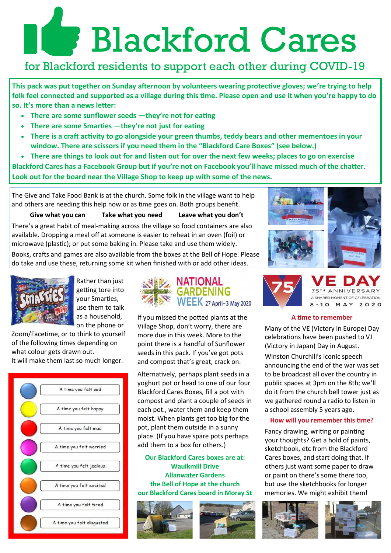# Blackford Cares

## for Blackford residents to support each other during COVID-19

**This pack was put together on Sunday afternoon by volunteers wearing protective gloves; we're trying to help folk feel connected and supported as a village during this time. Please open and use it when you're happy to do so. It's more than a news letter:**

- **There are some sunflower seeds —they're not for eating**
- **There are some Smarties —they're not just for eating**
- **There is a craft activity to go alongside your green thumbs, teddy bears and other mementoes in your window. There are scissors if you need them in the "Blackford Care Boxes" (see below.)**
- **There are things to look out for and listen out for over the next few weeks; places to go on exercise**

**Blackford Cares has a Facebook Group but if you're not on Facebook you'll have missed much of the chatter. Look out for the board near the Village Shop to keep up with some of the news.** 

The Give and Take Food Bank is at the church. Some folk in the village want to help and others are needing this help now or as time goes on. Both groups benefit.

**Give what you can Take what you need Leave what you don't**

There's a great habit of meal-making across the village so food containers are also available. Dropping a meal off at someone is easier to reheat in an oven (foil) or microwave (plastic); or put some baking in. Please take and use them widely.

Books, crafts and games are also available from the boxes at the Bell of Hope. Please do take and use these, returning some kit when finished with or add other ideas.



Rather than just getting tore into your Smarties, use them to talk as a household, on the phone or

Zoom/Facetime, or to think to yourself of the following times depending on what colour gets drawn out.

It will make them last so much longer.





If you missed the potted plants at the Village Shop, don't worry, there are more due in this week. More to the point there is a handful of Sunflower seeds in this pack. If you've got pots and compost that's great, crack on.

Alternatively, perhaps plant seeds in a yoghurt pot or head to one of our four Blackford Cares Boxes, fill a pot with compost and plant a couple of seeds in each pot., water them and keep them moist. When plants get too big for the pot, plant them outside in a sunny place. (If you have spare pots perhaps add them to a box for others.)

**Our Blackford Cares boxes are at: Waulkmill Drive Allanwater Gardens the Bell of Hope at the church our Blackford Cares board in Moray St** 







### **A time to remember**

Many of the VE (Victory in Europe) Day celebrations have been pushed to VJ (Victory in Japan) Day in August.

Winston Churchill's iconic speech announcing the end of the war was set to be broadcast all over the country in public spaces at 3pm on the 8th; we'll do it from the church bell tower just as we gathered round a radio to listen in a school assembly 5 years ago.

## **How will you remember this time?**

Fancy drawing, writing or painting your thoughts? Get a hold of paints, sketchbook, etc from the Blackford Cares boxes, and start doing that. If others just want some paper to draw or paint on there's some there too, but use the sketchbooks for longer memories. We might exhibit them!



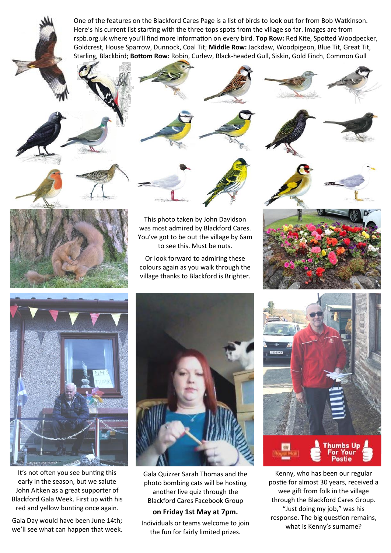One of the features on the Blackford Cares Page is a list of birds to look out for from Bob Watkinson. Here's his current list starting with the three tops spots from the village so far. Images are from rspb.org.uk where you'll find more information on every bird. **Top Row:** Red Kite, Spotted Woodpecker, Goldcrest, House Sparrow, Dunnock, Coal Tit; **Middle Row:** Jackdaw, Woodpigeon, Blue Tit, Great Tit, Starling, Blackbird; **Bottom Row:** Robin, Curlew, Black-headed Gull, Siskin, Gold Finch, Common Gull



This photo taken by John Davidson was most admired by Blackford Cares. You've got to be out the village by 6am to see this. Must be nuts.

Or look forward to admiring these colours again as you walk through the village thanks to Blackford is Brighter.





It's not often you see bunting this early in the season, but we salute John Aitken as a great supporter of Blackford Gala Week. First up with his red and yellow bunting once again.

Gala Day would have been June 14th; we'll see what can happen that week.



Gala Quizzer Sarah Thomas and the photo bombing cats will be hosting another live quiz through the Blackford Cares Facebook Group

### **on Friday 1st May at 7pm.**

Individuals or teams welcome to join the fun for fairly limited prizes.



Kenny, who has been our regular postie for almost 30 years, received a wee gift from folk in the village through the Blackford Cares Group. "Just doing my job," was his response. The big question remains, what is Kenny's surname?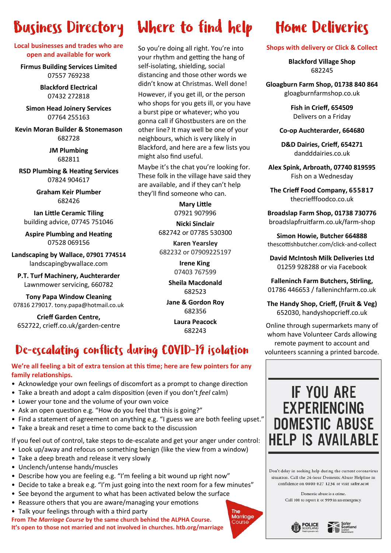## **Business Directory**

**Local businesses and trades who are open and available for work**

**[Firmus Building Services Limited](https://www.facebook.com/FirmusBuildingServicesLtd/)**  07557 769238

> **Blackford Electrical** 07432 272818

**Simon Head Joinery Services** 07764 255163

**Kevin Moran Builder & Stonemason** 682728

> **JM Plumbing** 682811

**[RSD Plumbing & Heating Services](http://www.rgplumbingheatingservices.co.uk/)** 07824 904617

> **Graham Keir Plumber** 682426

**Ian Little Ceramic Tiling** building advice, 07745 751046

**Aspire Plumbing and Heating** 07528 069156

**Landscaping by Wallace, 07901 774514**  landscapingbywallace.com

**P.T. Turf Machinery, Auchterarder** Lawnmower servicing, 660782

**Tony Papa Window Cleaning**  07816 279017. tony.papa@hotmail.co.uk

**Crieff Garden Centre,**  652722, crieff.co.uk/garden-centre

# **Where to find help**

So you're doing all right. You're into your rhythm and getting the hang of self-isolating, shielding, social distancing and those other words we didn't know at Christmas. Well done!

However, if you get ill, or the person who shops for you gets ill, or you have a burst pipe or whatever; who you gonna call if Ghostbusters are on the other line? It may well be one of your neighbours, which is very likely in Blackford, and here are a few lists you might also find useful.

Maybe it's the chat you're looking for. These folk in the village have said they are available, and if they can't help they'll find someone who can.

> **Mary Little**  07921 907996

**Nicki Sinclair** 

682742 or 07785 530300 **Karen Yearsley** 

682232 or 07909225197

**Irene King** 07403 767599

**Sheila Macdonald**  682523

**Jane & Gordon Roy**  682356

> **Laura Peacock**  682243

> > The **Marriage Course**

## De-escalating conflicts during COVID-19 isolation volunteers scanning a printed barcode.

## **We're all feeling a bit of extra tension at this time; here are few pointers for any family relationships.**

- Acknowledge your own feelings of discomfort as a prompt to change direction
- Take a breath and adopt a calm disposition (even if you don't *feel* calm)
- Lower your tone and the volume of your own voice
- Ask an open question e.g. "How do you feel that this is going?"
- Find a statement of agreement on anything e.g. "I guess we are both feeling upset."
- Take a break and reset a time to come back to the discussion

If you feel out of control, take steps to de-escalate and get your anger under control:

- Look up/away and refocus on something benign (like the view from a window)
- Take a deep breath and release it very slowly
- Unclench/untense hands/muscles
- Describe how you are feeling e.g. "I'm feeling a bit wound up right now"
- Decide to take a break e.g. "I'm just going into the next room for a few minutes"
- See beyond the argument to what has been activated below the surface
- Reassure others that you are aware/managing your emotions
- Talk your feelings through with a third party

**From** *The Marriage Course* **by the same church behind the ALPHA Course. It's open to those not married and not involved in churches. htb.org/marriage**

# **Home Deliveries**

**Shops with delivery or Click & Collect**

**Blackford Village Shop** 682245

**Gloagburn Farm Shop, 01738 840 864**  gloagburnfarmshop.co.uk

> **Fish in Crieff, 654509**  Delivers on a Friday

**Co-op Auchterarder, 664680** 

**D&D Dairies, Crieff, 654271**  dandddairies.co.uk

**Alex Spink, Arbroath, 07740 819595**  Fish on a Wednesday

**The Crieff Food Company, 655817** thecriefffoodco.co.uk

**Broadslap Farm Shop, 01738 730776**  broadslapfruitfarm.co.uk/farm-shop

**Simon Howie, Butcher 664888** thescottishbutcher.com/click-and-collect

**David McIntosh Milk Deliveries Ltd**  01259 928288 or via Facebook

**Falleninch Farm Butchers, Stirling,**  01786 446653 / falleninchfarm.co.uk

**The Handy Shop, Crieff, (Fruit & Veg)** 652030, handyshopcrieff.co.uk

Online through supermarkets many of whom have Volunteer Cards allowing remote payment to account and

## **IF YOU ARE EXPERIENCING DOMESTIC ABUSE HELP IS AVAILABLE**

Don't delay in seeking help during the current coronavirus situation. Call the 24-hour Domestic Abuse Helpline in confidence on 0800 027 1234 or visit safer.scot

> Domestic abuse is a crime. Call 101 to report it or 999 in an emergency.